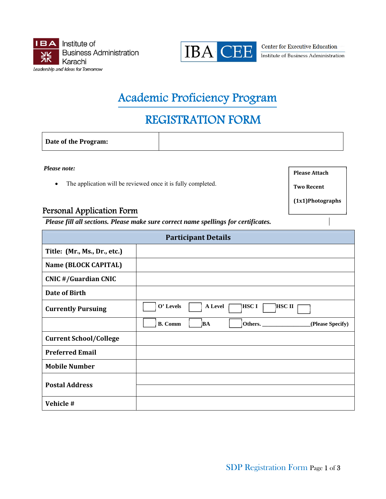



**Center for Executive Education** Institute of Business Administration

# Academic Proficiency Program

# REGISTRATION FORM

**Date of the Program:** 

*Please note:* 

The application will be reviewed once it is fully completed.

## Personal Application Form

*Please fill all sections. Please make sure correct name spellings for certificates.* 

| <b>Participant Details</b>    |                                                            |  |  |  |
|-------------------------------|------------------------------------------------------------|--|--|--|
| Title: (Mr., Ms., Dr., etc.)  |                                                            |  |  |  |
| Name (BLOCK CAPITAL)          |                                                            |  |  |  |
| <b>CNIC #/Guardian CNIC</b>   |                                                            |  |  |  |
| Date of Birth                 |                                                            |  |  |  |
| <b>Currently Pursuing</b>     | O' Levels<br>A Level<br> HSC I<br><b>HSC II</b>            |  |  |  |
|                               | <b>B.</b> Comm<br><b>BA</b><br>Others.<br>(Please Specify) |  |  |  |
| <b>Current School/College</b> |                                                            |  |  |  |
| <b>Preferred Email</b>        |                                                            |  |  |  |
| <b>Mobile Number</b>          |                                                            |  |  |  |
| <b>Postal Address</b>         |                                                            |  |  |  |
| Vehicle #                     |                                                            |  |  |  |

**Please Attach**

**Two Recent**

**(1x1)Photographs**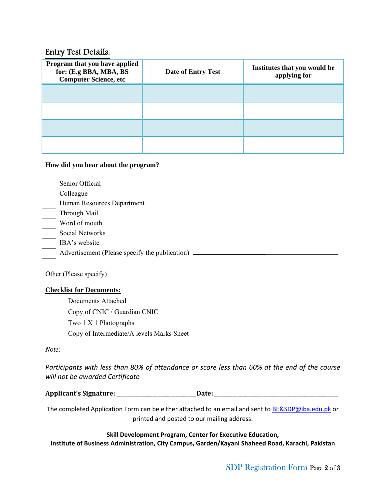## Entry Test Details:

| Program that you have applied<br>for: (E.g BBA, MBA, BS<br><b>Computer Science, etc</b> | Date of Entry Test | Institutes that you would be<br>applying for |
|-----------------------------------------------------------------------------------------|--------------------|----------------------------------------------|
|                                                                                         |                    |                                              |
|                                                                                         |                    |                                              |
|                                                                                         |                    |                                              |
|                                                                                         |                    |                                              |

#### **How did you hear about the program?**

| Senior Official                                |
|------------------------------------------------|
| Colleague                                      |
| Human Resources Department                     |
| Through Mail                                   |
| Word of mouth                                  |
| <b>Social Networks</b>                         |
| IBA's website                                  |
| Advertisement (Please specify the publication) |
|                                                |

Other (Please specify)

#### **Checklist for Documents:**

 Documents Attached Copy of CNIC / Guardian CNIC Two 1 X 1 Photographs Copy of Intermediate/A levels Marks Sheet

*Note:* 

*Participants with less than 80% of attendance or score less than 60% at the end of the course will not be awarded Certificate*

| <b>Applicant's Signature:</b> | Jate |
|-------------------------------|------|
|                               |      |

The completed Application Form can be either attached to an email and sent to BE&SDP@iba.edu.pk or printed and posted to our mailing address:

**Skill Development Program, Center for Executive Education, Institute of Business Administration, City Campus, Garden/Kayani Shaheed Road, Karachi, Pakistan**